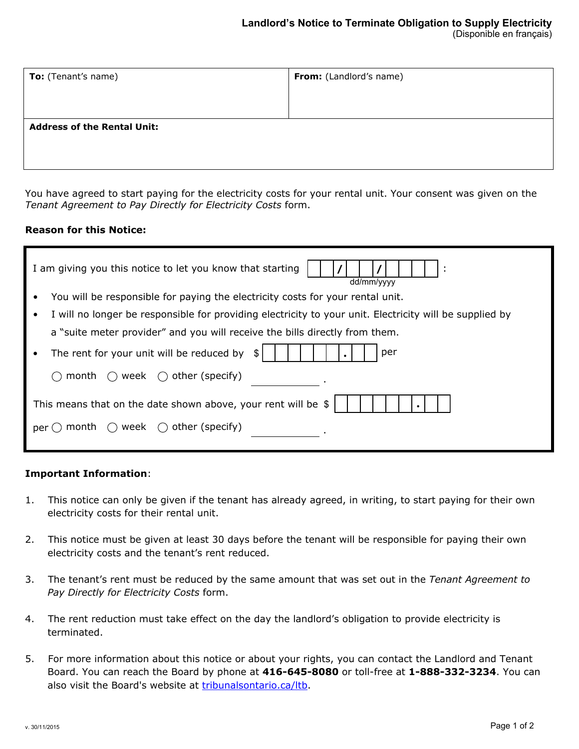| To: (Tenant's name)                | From: (Landlord's name) |  |  |
|------------------------------------|-------------------------|--|--|
|                                    |                         |  |  |
| <b>Address of the Rental Unit:</b> |                         |  |  |
|                                    |                         |  |  |
|                                    |                         |  |  |

You have agreed to start paying for the electricity costs for your rental unit. Your consent was given on the *Tenant Agreement to Pay Directly for Electricity Costs* form.

## **Reason for this Notice:**

| I am giving you this notice to let you know that starting<br>dd/mm/yyyy                                 |  |  |  |  |
|---------------------------------------------------------------------------------------------------------|--|--|--|--|
| You will be responsible for paying the electricity costs for your rental unit.                          |  |  |  |  |
| I will no longer be responsible for providing electricity to your unit. Electricity will be supplied by |  |  |  |  |
| a "suite meter provider" and you will receive the bills directly from them.                             |  |  |  |  |
| The rent for your unit will be reduced by<br>per<br>\$.<br>$\bullet$                                    |  |  |  |  |
| week $\bigcirc$ other (specify)<br>month<br>( )                                                         |  |  |  |  |
| This means that on the date shown above, your rent will be \$                                           |  |  |  |  |
| month $\bigcirc$ week $\bigcirc$ other (specify)<br>per                                                 |  |  |  |  |

## **Important Information**:

- 1. This notice can only be given if the tenant has already agreed, in writing, to start paying for their own electricity costs for their rental unit.
- 2. This notice must be given at least 30 days before the tenant will be responsible for paying their own electricity costs and the tenant's rent reduced.
- 3. The tenant's rent must be reduced by the same amount that was set out in the *Tenant Agreement to Pay Directly for Electricity Costs* form.
- 4. The rent reduction must take effect on the day the landlord's obligation to provide electricity is terminated.
- 5. For more information about this notice or about your rights, you can contact the Landlord and Tenant Board. You can reach the Board by phone at **416-645-8080** or toll-free at **1-888-332-3234**. You can also visit the Board's website at [tribunalsontario.ca/ltb](https://tribunalsontario.ca/ltb/).